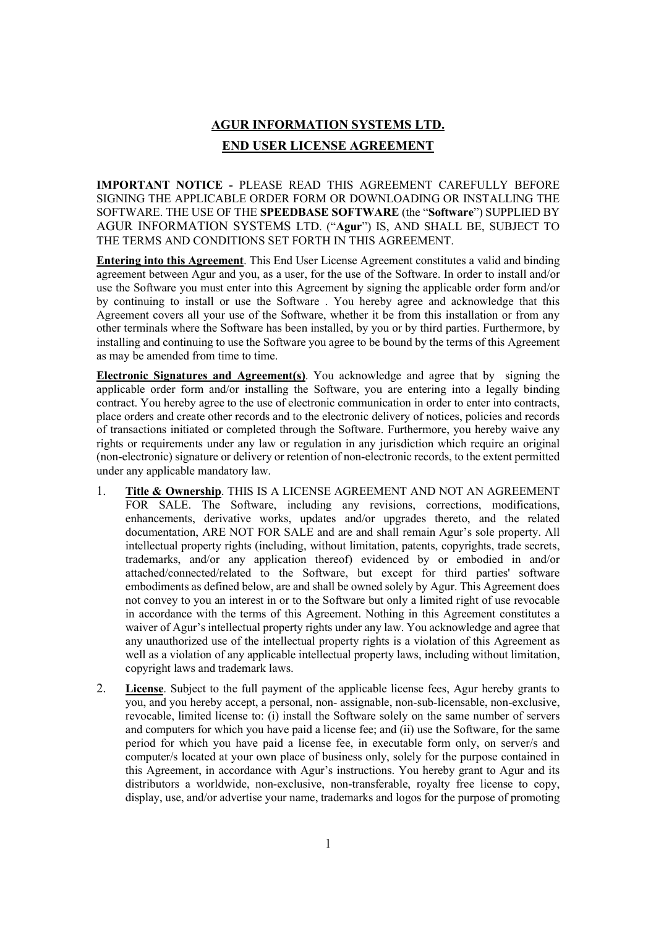## AGUR INFORMATION SYSTEMS LTD. END USER LICENSE AGREEMENT

IMPORTANT NOTICE - PLEASE READ THIS AGREEMENT CAREFULLY BEFORE SIGNING THE APPLICABLE ORDER FORM OR DOWNLOADING OR INSTALLING THE SOFTWARE. THE USE OF THE SPEEDBASE SOFTWARE (the "Software") SUPPLIED BY AGUR INFORMATION SYSTEMS LTD. ("Agur") IS, AND SHALL BE, SUBJECT TO THE TERMS AND CONDITIONS SET FORTH IN THIS AGREEMENT.

Entering into this Agreement. This End User License Agreement constitutes a valid and binding agreement between Agur and you, as a user, for the use of the Software. In order to install and/or use the Software you must enter into this Agreement by signing the applicable order form and/or by continuing to install or use the Software . You hereby agree and acknowledge that this Agreement covers all your use of the Software, whether it be from this installation or from any other terminals where the Software has been installed, by you or by third parties. Furthermore, by installing and continuing to use the Software you agree to be bound by the terms of this Agreement as may be amended from time to time.

Electronic Signatures and Agreement(s). You acknowledge and agree that by signing the applicable order form and/or installing the Software, you are entering into a legally binding contract. You hereby agree to the use of electronic communication in order to enter into contracts, place orders and create other records and to the electronic delivery of notices, policies and records of transactions initiated or completed through the Software. Furthermore, you hereby waive any rights or requirements under any law or regulation in any jurisdiction which require an original (non-electronic) signature or delivery or retention of non-electronic records, to the extent permitted under any applicable mandatory law.

- 1. Title & Ownership. THIS IS A LICENSE AGREEMENT AND NOT AN AGREEMENT FOR SALE. The Software, including any revisions, corrections, modifications, enhancements, derivative works, updates and/or upgrades thereto, and the related documentation, ARE NOT FOR SALE and are and shall remain Agur's sole property. All intellectual property rights (including, without limitation, patents, copyrights, trade secrets, trademarks, and/or any application thereof) evidenced by or embodied in and/or attached/connected/related to the Software, but except for third parties' software embodiments as defined below, are and shall be owned solely by Agur. This Agreement does not convey to you an interest in or to the Software but only a limited right of use revocable in accordance with the terms of this Agreement. Nothing in this Agreement constitutes a waiver of Agur's intellectual property rights under any law. You acknowledge and agree that any unauthorized use of the intellectual property rights is a violation of this Agreement as well as a violation of any applicable intellectual property laws, including without limitation, copyright laws and trademark laws.
- 2. License. Subject to the full payment of the applicable license fees, Agur hereby grants to you, and you hereby accept, a personal, non- assignable, non-sub-licensable, non-exclusive, revocable, limited license to: (i) install the Software solely on the same number of servers and computers for which you have paid a license fee; and (ii) use the Software, for the same period for which you have paid a license fee, in executable form only, on server/s and computer/s located at your own place of business only, solely for the purpose contained in this Agreement, in accordance with Agur's instructions. You hereby grant to Agur and its distributors a worldwide, non-exclusive, non-transferable, royalty free license to copy, display, use, and/or advertise your name, trademarks and logos for the purpose of promoting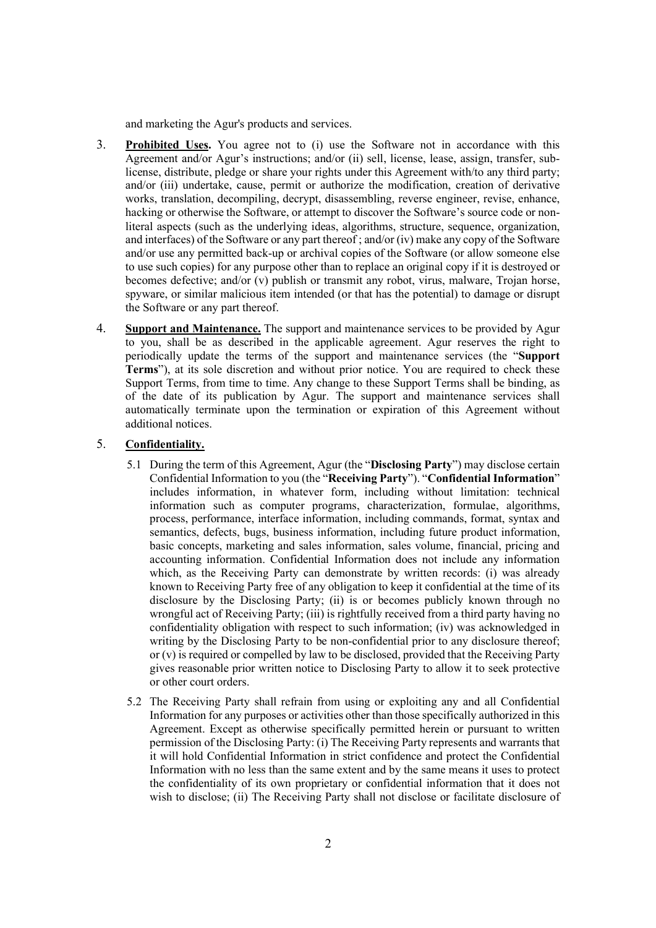and marketing the Agur's products and services.

- 3. Prohibited Uses. You agree not to (i) use the Software not in accordance with this Agreement and/or Agur's instructions; and/or (ii) sell, license, lease, assign, transfer, sublicense, distribute, pledge or share your rights under this Agreement with/to any third party; and/or (iii) undertake, cause, permit or authorize the modification, creation of derivative works, translation, decompiling, decrypt, disassembling, reverse engineer, revise, enhance, hacking or otherwise the Software, or attempt to discover the Software's source code or nonliteral aspects (such as the underlying ideas, algorithms, structure, sequence, organization, and interfaces) of the Software or any part thereof ; and/or (iv) make any copy of the Software and/or use any permitted back-up or archival copies of the Software (or allow someone else to use such copies) for any purpose other than to replace an original copy if it is destroyed or becomes defective; and/or (v) publish or transmit any robot, virus, malware, Trojan horse, spyware, or similar malicious item intended (or that has the potential) to damage or disrupt the Software or any part thereof.
- 4. Support and Maintenance. The support and maintenance services to be provided by Agur to you, shall be as described in the applicable agreement. Agur reserves the right to periodically update the terms of the support and maintenance services (the "Support Terms"), at its sole discretion and without prior notice. You are required to check these Support Terms, from time to time. Any change to these Support Terms shall be binding, as of the date of its publication by Agur. The support and maintenance services shall automatically terminate upon the termination or expiration of this Agreement without additional notices.

## 5. Confidentiality.

- 5.1 During the term of this Agreement, Agur (the "Disclosing Party") may disclose certain Confidential Information to you (the "Receiving Party"). "Confidential Information" includes information, in whatever form, including without limitation: technical information such as computer programs, characterization, formulae, algorithms, process, performance, interface information, including commands, format, syntax and semantics, defects, bugs, business information, including future product information, basic concepts, marketing and sales information, sales volume, financial, pricing and accounting information. Confidential Information does not include any information which, as the Receiving Party can demonstrate by written records: (i) was already known to Receiving Party free of any obligation to keep it confidential at the time of its disclosure by the Disclosing Party; (ii) is or becomes publicly known through no wrongful act of Receiving Party; (iii) is rightfully received from a third party having no confidentiality obligation with respect to such information; (iv) was acknowledged in writing by the Disclosing Party to be non-confidential prior to any disclosure thereof; or (v) is required or compelled by law to be disclosed, provided that the Receiving Party gives reasonable prior written notice to Disclosing Party to allow it to seek protective or other court orders.
- 5.2 The Receiving Party shall refrain from using or exploiting any and all Confidential Information for any purposes or activities other than those specifically authorized in this Agreement. Except as otherwise specifically permitted herein or pursuant to written permission of the Disclosing Party: (i) The Receiving Party represents and warrants that it will hold Confidential Information in strict confidence and protect the Confidential Information with no less than the same extent and by the same means it uses to protect the confidentiality of its own proprietary or confidential information that it does not wish to disclose; (ii) The Receiving Party shall not disclose or facilitate disclosure of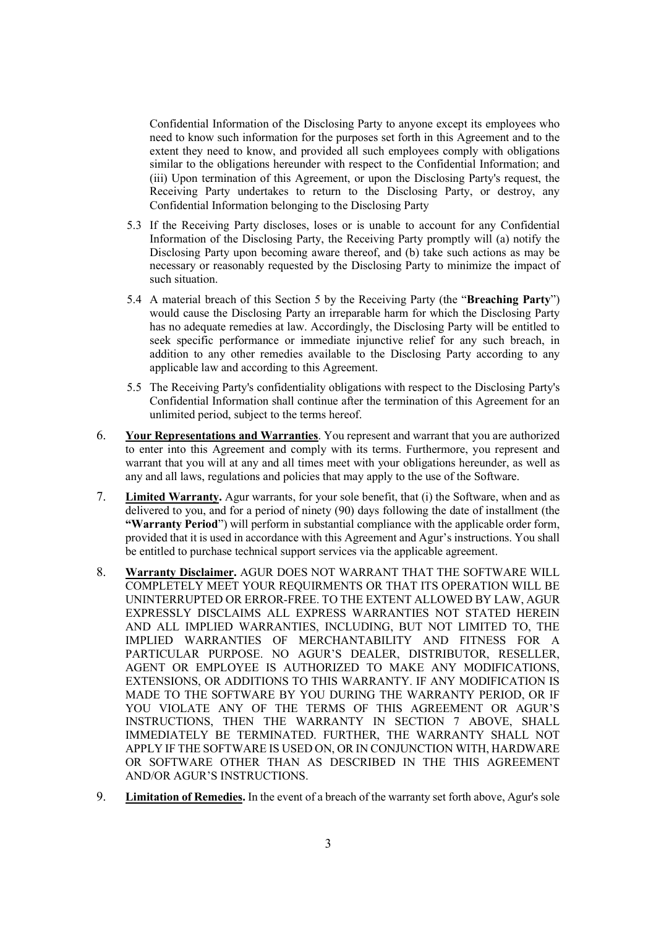Confidential Information of the Disclosing Party to anyone except its employees who need to know such information for the purposes set forth in this Agreement and to the extent they need to know, and provided all such employees comply with obligations similar to the obligations hereunder with respect to the Confidential Information; and (iii) Upon termination of this Agreement, or upon the Disclosing Party's request, the Receiving Party undertakes to return to the Disclosing Party, or destroy, any Confidential Information belonging to the Disclosing Party

- 5.3 If the Receiving Party discloses, loses or is unable to account for any Confidential Information of the Disclosing Party, the Receiving Party promptly will (a) notify the Disclosing Party upon becoming aware thereof, and (b) take such actions as may be necessary or reasonably requested by the Disclosing Party to minimize the impact of such situation.
- 5.4 A material breach of this Section 5 by the Receiving Party (the "Breaching Party") would cause the Disclosing Party an irreparable harm for which the Disclosing Party has no adequate remedies at law. Accordingly, the Disclosing Party will be entitled to seek specific performance or immediate injunctive relief for any such breach, in addition to any other remedies available to the Disclosing Party according to any applicable law and according to this Agreement.
- 5.5 The Receiving Party's confidentiality obligations with respect to the Disclosing Party's Confidential Information shall continue after the termination of this Agreement for an unlimited period, subject to the terms hereof.
- 6. Your Representations and Warranties. You represent and warrant that you are authorized to enter into this Agreement and comply with its terms. Furthermore, you represent and warrant that you will at any and all times meet with your obligations hereunder, as well as any and all laws, regulations and policies that may apply to the use of the Software.
- 7. Limited Warranty. Agur warrants, for your sole benefit, that (i) the Software, when and as delivered to you, and for a period of ninety (90) days following the date of installment (the "Warranty Period") will perform in substantial compliance with the applicable order form, provided that it is used in accordance with this Agreement and Agur's instructions. You shall be entitled to purchase technical support services via the applicable agreement.
- 8. Warranty Disclaimer. AGUR DOES NOT WARRANT THAT THE SOFTWARE WILL COMPLETELY MEET YOUR REQUIRMENTS OR THAT ITS OPERATION WILL BE UNINTERRUPTED OR ERROR-FREE. TO THE EXTENT ALLOWED BY LAW, AGUR EXPRESSLY DISCLAIMS ALL EXPRESS WARRANTIES NOT STATED HEREIN AND ALL IMPLIED WARRANTIES, INCLUDING, BUT NOT LIMITED TO, THE IMPLIED WARRANTIES OF MERCHANTABILITY AND FITNESS FOR A PARTICULAR PURPOSE. NO AGUR'S DEALER, DISTRIBUTOR, RESELLER, AGENT OR EMPLOYEE IS AUTHORIZED TO MAKE ANY MODIFICATIONS, EXTENSIONS, OR ADDITIONS TO THIS WARRANTY. IF ANY MODIFICATION IS MADE TO THE SOFTWARE BY YOU DURING THE WARRANTY PERIOD, OR IF YOU VIOLATE ANY OF THE TERMS OF THIS AGREEMENT OR AGUR'S INSTRUCTIONS, THEN THE WARRANTY IN SECTION 7 ABOVE, SHALL IMMEDIATELY BE TERMINATED. FURTHER, THE WARRANTY SHALL NOT APPLY IF THE SOFTWARE IS USED ON, OR IN CONJUNCTION WITH, HARDWARE OR SOFTWARE OTHER THAN AS DESCRIBED IN THE THIS AGREEMENT AND/OR AGUR'S INSTRUCTIONS.
- 9. Limitation of Remedies. In the event of a breach of the warranty set forth above, Agur's sole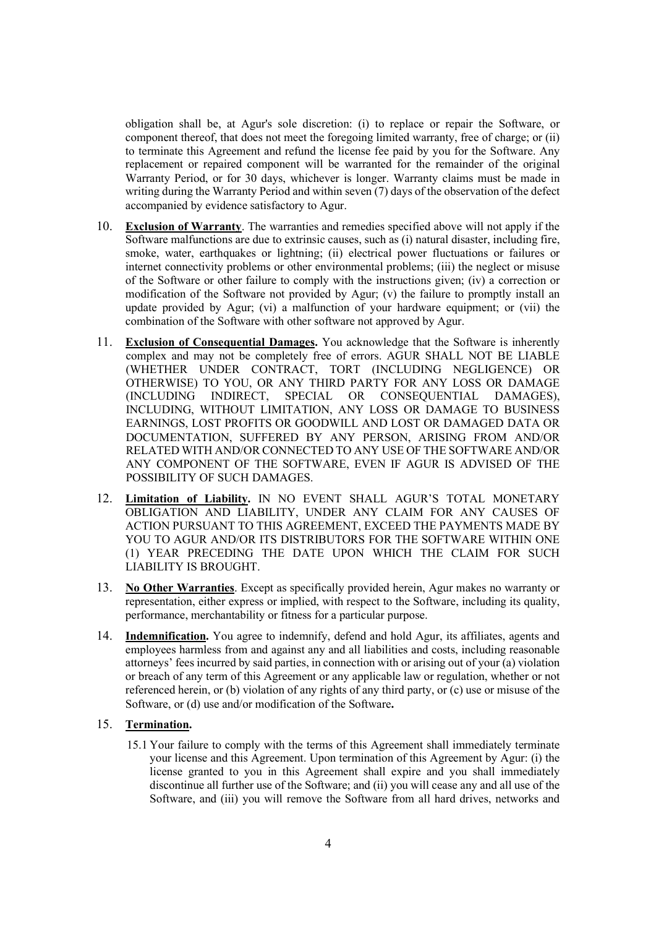obligation shall be, at Agur's sole discretion: (i) to replace or repair the Software, or component thereof, that does not meet the foregoing limited warranty, free of charge; or (ii) to terminate this Agreement and refund the license fee paid by you for the Software. Any replacement or repaired component will be warranted for the remainder of the original Warranty Period, or for 30 days, whichever is longer. Warranty claims must be made in writing during the Warranty Period and within seven (7) days of the observation of the defect accompanied by evidence satisfactory to Agur.

- 10. Exclusion of Warranty. The warranties and remedies specified above will not apply if the Software malfunctions are due to extrinsic causes, such as (i) natural disaster, including fire, smoke, water, earthquakes or lightning; (ii) electrical power fluctuations or failures or internet connectivity problems or other environmental problems; (iii) the neglect or misuse of the Software or other failure to comply with the instructions given; (iv) a correction or modification of the Software not provided by Agur; (v) the failure to promptly install an update provided by Agur; (vi) a malfunction of your hardware equipment; or (vii) the combination of the Software with other software not approved by Agur.
- 11. Exclusion of Consequential Damages. You acknowledge that the Software is inherently complex and may not be completely free of errors. AGUR SHALL NOT BE LIABLE (WHETHER UNDER CONTRACT, TORT (INCLUDING NEGLIGENCE) OR OTHERWISE) TO YOU, OR ANY THIRD PARTY FOR ANY LOSS OR DAMAGE (INCLUDING INDIRECT, SPECIAL OR CONSEQUENTIAL DAMAGES), INCLUDING, WITHOUT LIMITATION, ANY LOSS OR DAMAGE TO BUSINESS EARNINGS, LOST PROFITS OR GOODWILL AND LOST OR DAMAGED DATA OR DOCUMENTATION, SUFFERED BY ANY PERSON, ARISING FROM AND/OR RELATED WITH AND/OR CONNECTED TO ANY USE OF THE SOFTWARE AND/OR ANY COMPONENT OF THE SOFTWARE, EVEN IF AGUR IS ADVISED OF THE POSSIBILITY OF SUCH DAMAGES.
- 12. Limitation of Liability. IN NO EVENT SHALL AGUR'S TOTAL MONETARY OBLIGATION AND LIABILITY, UNDER ANY CLAIM FOR ANY CAUSES OF ACTION PURSUANT TO THIS AGREEMENT, EXCEED THE PAYMENTS MADE BY YOU TO AGUR AND/OR ITS DISTRIBUTORS FOR THE SOFTWARE WITHIN ONE (1) YEAR PRECEDING THE DATE UPON WHICH THE CLAIM FOR SUCH LIABILITY IS BROUGHT.
- 13. No Other Warranties. Except as specifically provided herein, Agur makes no warranty or representation, either express or implied, with respect to the Software, including its quality, performance, merchantability or fitness for a particular purpose.
- 14. Indemnification. You agree to indemnify, defend and hold Agur, its affiliates, agents and employees harmless from and against any and all liabilities and costs, including reasonable attorneys' fees incurred by said parties, in connection with or arising out of your (a) violation or breach of any term of this Agreement or any applicable law or regulation, whether or not referenced herein, or (b) violation of any rights of any third party, or (c) use or misuse of the Software, or (d) use and/or modification of the Software.

## 15. Termination.

15.1 Your failure to comply with the terms of this Agreement shall immediately terminate your license and this Agreement. Upon termination of this Agreement by Agur: (i) the license granted to you in this Agreement shall expire and you shall immediately discontinue all further use of the Software; and (ii) you will cease any and all use of the Software, and (iii) you will remove the Software from all hard drives, networks and